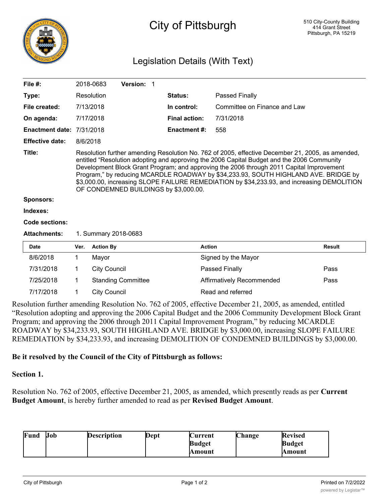

# City of Pittsburgh

# Legislation Details (With Text)

| File $#$ :             |                                                                                                                                                                                                                                                                                                                                                                                                                                                                                                                          | 2018-0683           | Version: 1                |  |                      |                                  |               |
|------------------------|--------------------------------------------------------------------------------------------------------------------------------------------------------------------------------------------------------------------------------------------------------------------------------------------------------------------------------------------------------------------------------------------------------------------------------------------------------------------------------------------------------------------------|---------------------|---------------------------|--|----------------------|----------------------------------|---------------|
| Type:                  |                                                                                                                                                                                                                                                                                                                                                                                                                                                                                                                          | Resolution          |                           |  | <b>Status:</b>       | Passed Finally                   |               |
| File created:          |                                                                                                                                                                                                                                                                                                                                                                                                                                                                                                                          | 7/13/2018           |                           |  | In control:          | Committee on Finance and Law     |               |
| On agenda:             |                                                                                                                                                                                                                                                                                                                                                                                                                                                                                                                          | 7/17/2018           |                           |  | <b>Final action:</b> | 7/31/2018                        |               |
| <b>Enactment date:</b> |                                                                                                                                                                                                                                                                                                                                                                                                                                                                                                                          | 7/31/2018           |                           |  | <b>Enactment #:</b>  | 558                              |               |
| <b>Effective date:</b> | 8/6/2018                                                                                                                                                                                                                                                                                                                                                                                                                                                                                                                 |                     |                           |  |                      |                                  |               |
| Title:                 | Resolution further amending Resolution No. 762 of 2005, effective December 21, 2005, as amended,<br>entitled "Resolution adopting and approving the 2006 Capital Budget and the 2006 Community<br>Development Block Grant Program; and approving the 2006 through 2011 Capital Improvement<br>Program," by reducing MCARDLE ROADWAY by \$34,233.93, SOUTH HIGHLAND AVE. BRIDGE by<br>\$3,000.00, increasing SLOPE FAILURE REMEDIATION by \$34,233.93, and increasing DEMOLITION<br>OF CONDEMNED BUILDINGS by \$3,000.00. |                     |                           |  |                      |                                  |               |
| <b>Sponsors:</b>       |                                                                                                                                                                                                                                                                                                                                                                                                                                                                                                                          |                     |                           |  |                      |                                  |               |
| Indexes:               |                                                                                                                                                                                                                                                                                                                                                                                                                                                                                                                          |                     |                           |  |                      |                                  |               |
| Code sections:         |                                                                                                                                                                                                                                                                                                                                                                                                                                                                                                                          |                     |                           |  |                      |                                  |               |
| <b>Attachments:</b>    | 1. Summary 2018-0683                                                                                                                                                                                                                                                                                                                                                                                                                                                                                                     |                     |                           |  |                      |                                  |               |
| Date                   | Ver.                                                                                                                                                                                                                                                                                                                                                                                                                                                                                                                     | <b>Action By</b>    |                           |  | <b>Action</b>        |                                  | <b>Result</b> |
| 8/6/2018               | 1                                                                                                                                                                                                                                                                                                                                                                                                                                                                                                                        | Mayor               |                           |  |                      | Signed by the Mayor              |               |
| 7/31/2018              | 1.                                                                                                                                                                                                                                                                                                                                                                                                                                                                                                                       | <b>City Council</b> |                           |  |                      | Passed Finally                   | Pass          |
| 7/25/2018              | 1.                                                                                                                                                                                                                                                                                                                                                                                                                                                                                                                       |                     | <b>Standing Committee</b> |  |                      | <b>Affirmatively Recommended</b> | Pass          |
| 7/17/2018              | 1.                                                                                                                                                                                                                                                                                                                                                                                                                                                                                                                       | <b>City Council</b> |                           |  |                      | Read and referred                |               |

Resolution further amending Resolution No. 762 of 2005, effective December 21, 2005, as amended, entitled "Resolution adopting and approving the 2006 Capital Budget and the 2006 Community Development Block Grant Program; and approving the 2006 through 2011 Capital Improvement Program," by reducing MCARDLE ROADWAY by \$34,233.93, SOUTH HIGHLAND AVE. BRIDGE by \$3,000.00, increasing SLOPE FAILURE REMEDIATION by \$34,233.93, and increasing DEMOLITION OF CONDEMNED BUILDINGS by \$3,000.00.

#### **Be it resolved by the Council of the City of Pittsburgh as follows:**

## **Section 1.**

Resolution No. 762 of 2005, effective December 21, 2005, as amended, which presently reads as per **Current Budget Amount**, is hereby further amended to read as per **Revised Budget Amount**.

| Fund | Job | <b>Description</b> | Dept | Current       | <b>Change</b> | <b>Revised</b> |
|------|-----|--------------------|------|---------------|---------------|----------------|
|      |     |                    |      | <b>Budget</b> |               | <b>Budget</b>  |
|      |     |                    |      | Amount        |               | Amount         |